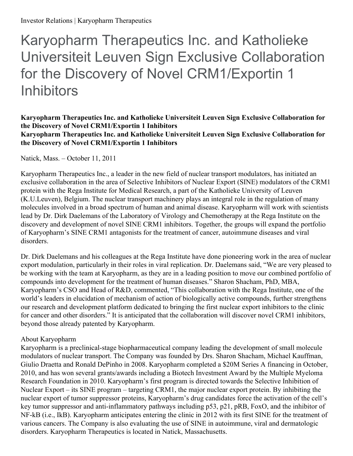Karyopharm Therapeutics Inc. and Katholieke Universiteit Leuven Sign Exclusive Collaboration for the Discovery of Novel CRM1/Exportin 1 **Inhibitors** 

## **Karyopharm Therapeutics Inc. and Katholieke Universiteit Leuven Sign Exclusive Collaboration for the Discovery of Novel CRM1/Exportin 1 Inhibitors Karyopharm Therapeutics Inc. and Katholieke Universiteit Leuven Sign Exclusive Collaboration for the Discovery of Novel CRM1/Exportin 1 Inhibitors**

Natick, Mass. – October 11, 2011

Karyopharm Therapeutics Inc., a leader in the new field of nuclear transport modulators, has initiated an exclusive collaboration in the area of Selective Inhibitors of Nuclear Export (SINE) modulators of the CRM1 protein with the Rega Institute for Medical Research, a part of the Katholieke University of Leuven (K.U.Leuven), Belgium. The nuclear transport machinery plays an integral role in the regulation of many molecules involved in a broad spectrum of human and animal disease. Karyopharm will work with scientists lead by Dr. Dirk Daelemans of the Laboratory of Virology and Chemotherapy at the Rega Institute on the discovery and development of novel SINE CRM1 inhibitors. Together, the groups will expand the portfolio of Karyopharm's SINE CRM1 antagonists for the treatment of cancer, autoimmune diseases and viral disorders.

Dr. Dirk Daelemans and his colleagues at the Rega Institute have done pioneering work in the area of nuclear export modulation, particularly in their roles in viral replication. Dr. Daelemans said, "We are very pleased to be working with the team at Karyopharm, as they are in a leading position to move our combined portfolio of compounds into development for the treatment of human diseases." Sharon Shacham, PhD, MBA, Karyopharm's CSO and Head of R&D, commented, "This collaboration with the Rega Institute, one of the world's leaders in elucidation of mechanism of action of biologically active compounds, further strengthens our research and development platform dedicated to bringing the first nuclear export inhibitors to the clinic for cancer and other disorders." It is anticipated that the collaboration will discover novel CRM1 inhibitors, beyond those already patented by Karyopharm.

## About Karyopharm

Karyopharm is a preclinical-stage biopharmaceutical company leading the development of small molecule modulators of nuclear transport. The Company was founded by Drs. Sharon Shacham, Michael Kauffman, Giulio Draetta and Ronald DePinho in 2008. Karyopharm completed a \$20M Series A financing in October, 2010, and has won several grants/awards including a Biotech Investment Award by the Multiple Myeloma Research Foundation in 2010. Karyopharm's first program is directed towards the Selective Inhibition of Nuclear Export – its SINE program – targeting CRM1, the major nuclear export protein. By inhibiting the nuclear export of tumor suppressor proteins, Karyopharm's drug candidates force the activation of the cell's key tumor suppressor and anti-inflammatory pathways including p53, p21, pRB, FoxO, and the inhibitor of NF-kB (i.e., IkB). Karyopharm anticipates entering the clinic in 2012 with its first SINE for the treatment of various cancers. The Company is also evaluating the use of SINE in autoimmune, viral and dermatologic disorders. Karyopharm Therapeutics is located in Natick, Massachusetts.